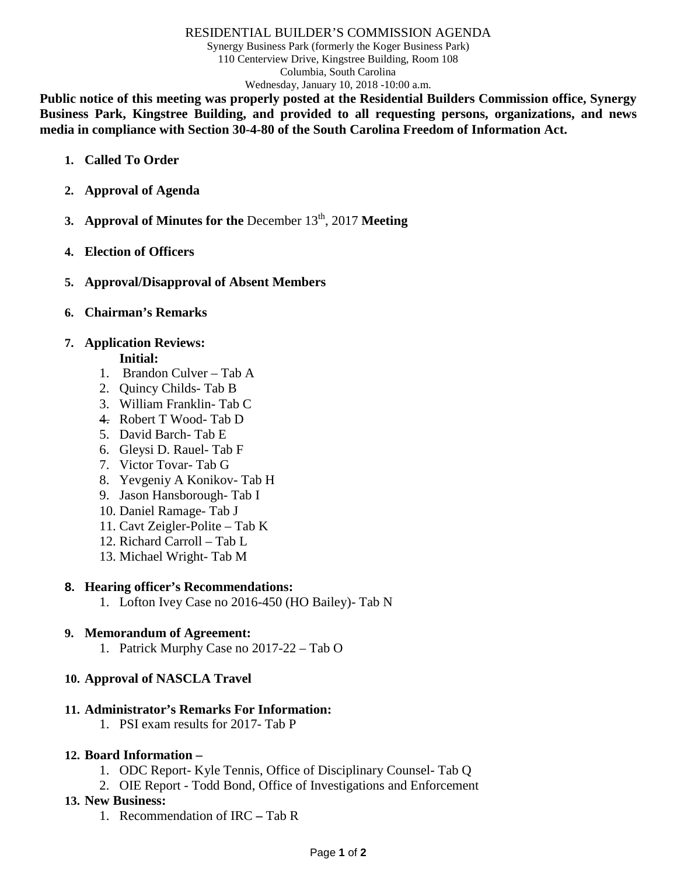#### RESIDENTIAL BUILDER'S COMMISSION AGENDA

Synergy Business Park (formerly the Koger Business Park) 110 Centerview Drive, Kingstree Building, Room 108 Columbia, South Carolina Wednesday, January 10, 2018 -10:00 a.m.

**Public notice of this meeting was properly posted at the Residential Builders Commission office, Synergy Business Park, Kingstree Building, and provided to all requesting persons, organizations, and news media in compliance with Section 30-4-80 of the South Carolina Freedom of Information Act.**

- **1. Called To Order**
- **2. Approval of Agenda**
- **3. Approval of Minutes for the December 13<sup>th</sup>, 2017 <b>Meeting**
- **4. Election of Officers**
- **5. Approval/Disapproval of Absent Members**
- **6. Chairman's Remarks**

# **7. Application Reviews:**

- **Initial:**
- 1. Brandon Culver Tab A
- 2. Quincy Childs- Tab B
- 3. William Franklin- Tab C
- 4. Robert T Wood- Tab D
- 5. David Barch- Tab E
- 6. Gleysi D. Rauel- Tab F
- 7. Victor Tovar- Tab G
- 8. Yevgeniy A Konikov- Tab H
- 9. Jason Hansborough- Tab I
- 10. Daniel Ramage- Tab J
- 11. Cavt Zeigler-Polite Tab K
- 12. Richard Carroll Tab L
- 13. Michael Wright- Tab M

### **8. Hearing officer's Recommendations:**

1. Lofton Ivey Case no 2016-450 (HO Bailey)- Tab N

## **9. Memorandum of Agreement:**

1. Patrick Murphy Case no 2017-22 – Tab O

## **10. Approval of NASCLA Travel**

### **11. Administrator's Remarks For Information:**

1. PSI exam results for 2017- Tab P

### **12. Board Information –**

- 1. ODC Report- Kyle Tennis, Office of Disciplinary Counsel- Tab Q
- 2. OIE Report Todd Bond, Office of Investigations and Enforcement

## **13. New Business:**

1. Recommendation of IRC **–** Tab R